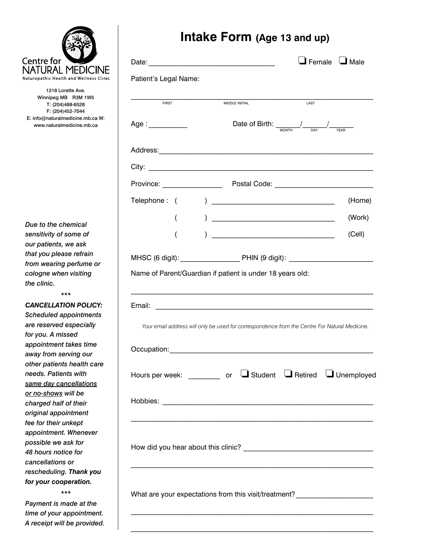

1218 Lorette Ave. Winnipeg MB R3M 1W5 T: (204)488-6528 F: (204)452-7044 E: info@naturalmedicine.mb.ca W: www.naturalmedicine.mb.ca

*Due to the chemical sensitivity of some of our patients, we ask that you please refrain from wearing perfume or cologne when visiting the clinic.* 

*\*\*\**

*Cancellation Policy: Scheduled appointments are reserved especially for you. A missed appointment takes time away from serving our other patients health care needs. Patients with same day cancellations or no-shows will be charged half of their original appointment fee for their unkept appointment. Whenever possible we ask for 48 hours notice for cancellations or rescheduling. Thank you for your cooperation.*

*Payment is made at the time of your appointment. A receipt will be provided.*

*\*\*\**

### **Intake Form (Age 13 and up)**

|                       |          |               |                                                                                               |                                                                                                   | $\Box$ Female $\Box$ Male |
|-----------------------|----------|---------------|-----------------------------------------------------------------------------------------------|---------------------------------------------------------------------------------------------------|---------------------------|
| Patient's Legal Name: |          |               |                                                                                               |                                                                                                   |                           |
| <b>FIRST</b>          |          |               | MIDDLE INITIAL                                                                                | LAST                                                                                              |                           |
| Age : __________      |          |               |                                                                                               | Date of Birth: $\frac{1}{\frac{1}{\sqrt{N}}\sqrt{N+1}}$ $\frac{1}{\sqrt{N}}$ $\frac{1}{\sqrt{N}}$ |                           |
|                       |          |               |                                                                                               |                                                                                                   |                           |
|                       |          |               |                                                                                               |                                                                                                   |                           |
|                       |          |               |                                                                                               |                                                                                                   |                           |
| Telephone: (          |          |               |                                                                                               |                                                                                                   | (Home)                    |
|                       | $\left($ |               |                                                                                               |                                                                                                   | (Work)                    |
|                       | (        | $\mathcal{L}$ |                                                                                               |                                                                                                   | (Cell)                    |
|                       |          |               | MHSC (6 digit): PHIN (9 digit): 2004                                                          |                                                                                                   |                           |
|                       |          |               |                                                                                               |                                                                                                   |                           |
|                       |          |               | Your email address will only be used for correspondence from the Centre For Natural Medicine. |                                                                                                   |                           |
|                       |          |               |                                                                                               |                                                                                                   |                           |
|                       |          |               | Hours per week: ________ or LStudent LRetired LUnemployed                                     |                                                                                                   |                           |
|                       |          |               |                                                                                               |                                                                                                   |                           |
|                       |          |               |                                                                                               |                                                                                                   |                           |
|                       |          |               |                                                                                               |                                                                                                   |                           |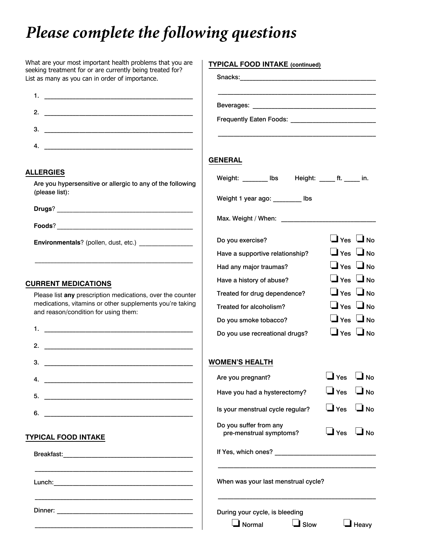# *Please complete the following questions*

| What are your most important health problems that you are<br>seeking treatment for or are currently being treated for? | <b>TYPICAL FOOD INTAKE (continued)</b>            |                                    |                      |
|------------------------------------------------------------------------------------------------------------------------|---------------------------------------------------|------------------------------------|----------------------|
| List as many as you can in order of importance.                                                                        |                                                   |                                    |                      |
|                                                                                                                        |                                                   |                                    |                      |
| 2.                                                                                                                     |                                                   |                                    |                      |
| 3.                                                                                                                     |                                                   |                                    |                      |
| 4.                                                                                                                     |                                                   |                                    |                      |
|                                                                                                                        | <b>GENERAL</b>                                    |                                    |                      |
| <b>ALLERGIES</b><br>Are you hypersensitive or allergic to any of the following                                         | Weight: ________ lbs Height: _____ ft. _____ in.  |                                    |                      |
| (please list):                                                                                                         | Weight 1 year ago: _________ lbs                  |                                    |                      |
|                                                                                                                        |                                                   |                                    |                      |
| Environmentals? (pollen, dust, etc.) _________________                                                                 | Do you exercise?                                  | $\Box$ Yes $\Box$ No               |                      |
|                                                                                                                        | Have a supportive relationship?                   | $\Box$ Yes $\Box$ No               |                      |
|                                                                                                                        | Had any major traumas?                            | $\Box$ Yes $\Box$ No               |                      |
| <b>CURRENT MEDICATIONS</b>                                                                                             | Have a history of abuse?                          | $\Box$ Yes $\Box$ No               |                      |
| Please list any prescription medications, over the counter                                                             | Treated for drug dependence?                      | $\Box$ Yes $\Box$ No               |                      |
| medications, vitamins or other supplements you're taking<br>and reason/condition for using them:                       | Treated for alcoholism?                           | $\Box$ Yes $\Box$ No               |                      |
|                                                                                                                        | Do you smoke tobacco?                             | $\bigcup$ Yes $\bigcup$ No         |                      |
|                                                                                                                        | Do you use recreational drugs?                    | $\Box$ Yes $\Box$ No               |                      |
| 2.                                                                                                                     |                                                   |                                    |                      |
| з.<br><u> 1989 - Johann Barbara, martin amerikan basal da</u>                                                          | <b>WOMEN'S HEALTH</b>                             |                                    |                      |
| 4.                                                                                                                     | Are you pregnant?                                 | $\mathbf{\mathsf{\mathsf{J}}}$ Yes | No <b>L</b>          |
| 5.<br><u> 1990 - Johann Barbara, martin amerikan basal da</u>                                                          | Have you had a hysterectomy?                      | $\Box$ Yes                         | $\square$ No         |
| 6.<br><u> 1989 - Andrea Stadt Britain, amerikansk politiker (</u>                                                      | Is your menstrual cycle regular?                  | $\Box$ Yes                         | $\Box$ No            |
| <b>TYPICAL FOOD INTAKE</b>                                                                                             | Do you suffer from any<br>pre-menstrual symptoms? | $\Box$ Yes                         | $\Box$ No            |
|                                                                                                                        |                                                   |                                    |                      |
|                                                                                                                        | When was your last menstrual cycle?               |                                    |                      |
|                                                                                                                        | During your cycle, is bleeding                    |                                    |                      |
|                                                                                                                        | $\Box$ Normal<br>$\Box$ Slow                      |                                    | $\blacksquare$ Heavy |